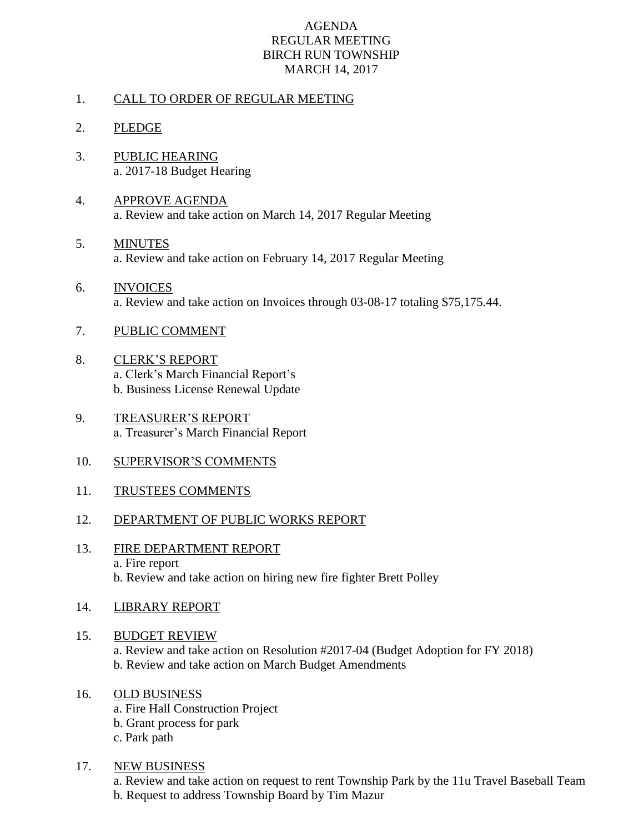### AGENDA REGULAR MEETING BIRCH RUN TOWNSHIP MARCH 14, 2017

### 1. CALL TO ORDER OF REGULAR MEETING

- 2. PLEDGE
- 3. PUBLIC HEARING a. 2017-18 Budget Hearing
- 4. APPROVE AGENDA a. Review and take action on March 14, 2017 Regular Meeting
- 5. MINUTES a. Review and take action on February 14, 2017 Regular Meeting
- 6. INVOICES a. Review and take action on Invoices through 03-08-17 totaling \$75,175.44.
- 7. PUBLIC COMMENT
- 8. CLERK'S REPORT a. Clerk's March Financial Report's b. Business License Renewal Update
- 9. TREASURER'S REPORT a. Treasurer's March Financial Report
- 10. SUPERVISOR'S COMMENTS
- 11. TRUSTEES COMMENTS
- 12. DEPARTMENT OF PUBLIC WORKS REPORT
- 13. FIRE DEPARTMENT REPORT a. Fire report b. Review and take action on hiring new fire fighter Brett Polley
- 14. LIBRARY REPORT

#### 15. BUDGET REVIEW

a. Review and take action on Resolution #2017-04 (Budget Adoption for FY 2018) b. Review and take action on March Budget Amendments

# 16. OLD BUSINESS

a. Fire Hall Construction Project b. Grant process for park c. Park path

17. NEW BUSINESS

a. Review and take action on request to rent Township Park by the 11u Travel Baseball Team b. Request to address Township Board by Tim Mazur